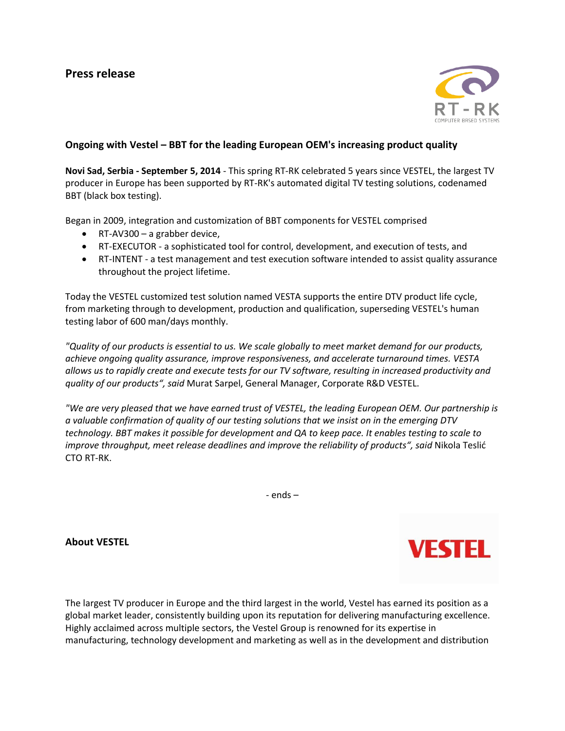

## **Ongoing with Vestel – BBT for the leading European OEM's increasing product quality**

**Novi Sad, Serbia - September 5, 2014** - This spring RT-RK celebrated 5 years since VESTEL, the largest TV producer in Europe has been supported by RT-RK's automated digital TV testing solutions, codenamed BBT (black box testing).

Began in 2009, integration and customization of BBT components for VESTEL comprised

- RT-AV300 a grabber device,
- RT-EXECUTOR a sophisticated tool for control, development, and execution of tests, and
- RT-INTENT a test management and test execution software intended to assist quality assurance throughout the project lifetime.

Today the VESTEL customized test solution named VESTA supports the entire DTV product life cycle, from marketing through to development, production and qualification, superseding VESTEL's human testing labor of 600 man/days monthly.

*"Quality of our products is essential to us. We scale globally to meet market demand for our products, achieve ongoing quality assurance, improve responsiveness, and accelerate turnaround times. VESTA allows us to rapidly create and execute tests for our TV software, resulting in increased productivity and quality of our products", said* Murat Sarpel, General Manager, Corporate R&D VESTEL.

*"We are very pleased that we have earned trust of VESTEL, the leading European OEM. Our partnership is a valuable confirmation of quality of our testing solutions that we insist on in the emerging DTV technology. BBT makes it possible for development and QA to keep pace. It enables testing to scale to improve throughput, meet release deadlines and improve the reliability of products", said* Nikola Teslić CTO RT-RK.

- ends –

**About VESTEL**



The largest TV producer in Europe and the third largest in the world, Vestel has earned its position as a global market leader, consistently building upon its reputation for delivering manufacturing excellence. Highly acclaimed across multiple sectors, the Vestel Group is renowned for its expertise in manufacturing, technology development and marketing as well as in the development and distribution